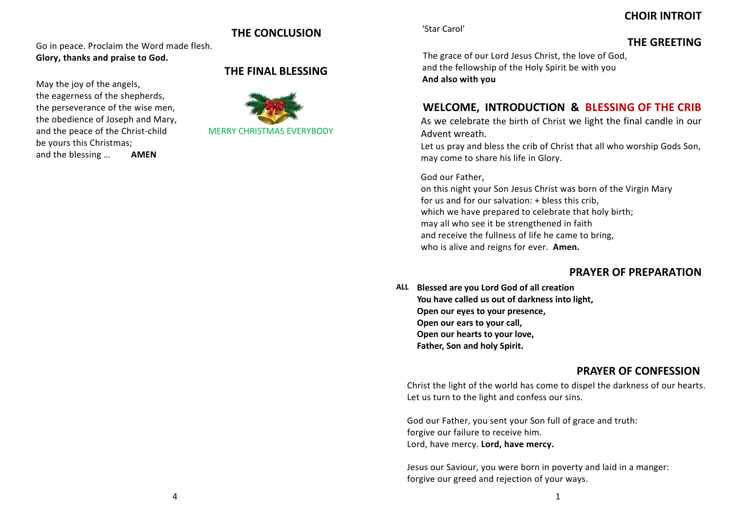# **CHOIR INTROIT**

# **THE CONCLUSION**

Go in peace. Proclaim the Word made flesh. **Glory, thanks and praise to God.**

May the joy of the angels, the eagerness of the shepherds, the perseverance of the wise men, the obedience of Joseph and Mary, and the peace of the Christ-child MERRY CHRISTMAS EVERYBODY be yours this Christmas; and the blessing … **AMEN**

# **THE FINAL BLESSING**



'Star Carol'

# **THE GREETING**

The grace of our Lord Jesus Christ, the love of God, and the fellowship of the Holy Spirit be with you **And also with you**

# **WELCOME, INTRODUCTION & BLESSING OF THE CRIB**

As we celebrate the birth of Christ we light the final candle in our Advent wreath.

Let us pray and bless the crib of Christ that all who worship Gods Son, may come to share his life in Glory.

## God our Father,

on this night your Son Jesus Christ was born of the Virgin Mary for us and for our salvation: + bless this crib, which we have prepared to celebrate that holy birth; may all who see it be strengthened in faith and receive the fullness of life he came to bring, who is alive and reigns for ever. **Amen.**

# **PRAYER OF PREPARATION**

**ALL Blessed are you Lord God of all creation You have called us out of darkness into light, Open our eyes to your presence, Open our ears to your call, Open our hearts to your love, Father, Son and holy Spirit.**

# **PRAYER OF CONFESSION**

Christ the light of the world has come to dispel the darkness of our hearts. Let us turn to the light and confess our sins.

God our Father, you sent your Son full of grace and truth: forgive our failure to receive him. Lord, have mercy. **Lord, have mercy.**

Jesus our Saviour, you were born in poverty and laid in a manger: forgive our greed and rejection of your ways.